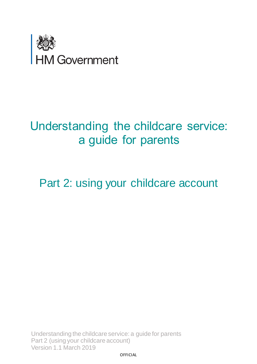

# Understanding the childcare service: a guide for parents

<span id="page-0-0"></span>Part 2: using your childcare account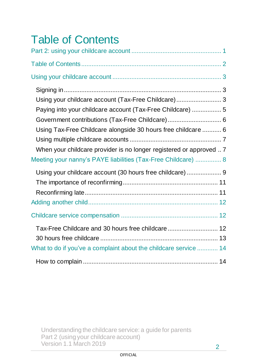<span id="page-1-0"></span>

| <b>Table of Contents</b>                                                                                                                                                                |  |
|-----------------------------------------------------------------------------------------------------------------------------------------------------------------------------------------|--|
|                                                                                                                                                                                         |  |
|                                                                                                                                                                                         |  |
|                                                                                                                                                                                         |  |
| Using your childcare account (Tax-Free Childcare)  3<br>Paying into your childcare account (Tax-Free Childcare)  5                                                                      |  |
| Government contributions (Tax-Free Childcare) 6<br>Using Tax-Free Childcare alongside 30 hours free childcare  6<br>When your childcare provider is no longer registered or approved  7 |  |
| Meeting your nanny's PAYE liabilities (Tax-Free Childcare)  8<br>Using your childcare account (30 hours free childcare)  9                                                              |  |
|                                                                                                                                                                                         |  |
|                                                                                                                                                                                         |  |
| Tax-Free Childcare and 30 hours free childcare<br>12<br>What to do if you've a complaint about the childcare service  14                                                                |  |
|                                                                                                                                                                                         |  |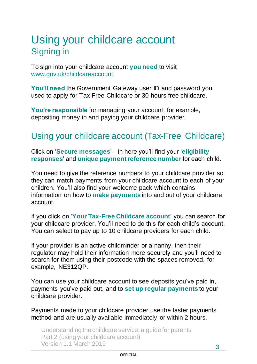### <span id="page-2-1"></span><span id="page-2-0"></span>Using your childcare account Signing in

To sign into your childcare account **you need** to visit [www.gov.uk/childcareaccount.](http://www.gov.uk/childcareaccount)

**You'll need** the Government Gateway user ID and password you used to apply for [Tax-Free Childcare](https://www.gov.uk/help-with-childcare-costs/tax-free-childcare) or [30 hours free childcare.](https://www.gov.uk/help-with-childcare-costs/free-childcare-and-education-for-2-to-4-year-olds)

**You're responsible** for managing your account, for example, depositing money in and paying your childcare provider.

### <span id="page-2-2"></span>Using your childcare account (Tax-Free Childcare)

Click on '**Secure messages**' – in here you'll find your '**eligibility responses**' and **unique payment reference number** for each child.

You need to give the reference numbers to your childcare provider so they can match payments from your childcare account to each of your children. You'll also find your welcome pack which contains information on how to **make payments** into and out of your childcare account.

If you click on '**Your Tax-Free Childcare account**' you can search for your childcare provider. You'll need to do this for each child's account. You can select to pay up to 10 childcare providers for each child.

If your provider is an active childminder or a nanny, then their regulator may hold their information more securely and you'll need to search for them using their postcode with the spaces removed, for example, NE312QP.

You can use your childcare account to see deposits you've paid in, payments you've paid out, and to **set up regular payments** to your childcare provider.

Payments made to your childcare provider use the faster payments method and are usually available immediately or within 2 hours.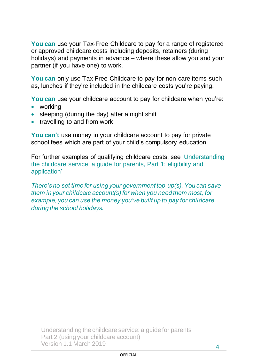**You can** use your Tax-Free Childcare to pay for a range of registered or approved childcare costs including deposits, retainers (during holidays) and payments in advance – where these allow you and your partner (if you have one) to work.

**You can** only use Tax-Free Childcare to pay for non-care items such as, lunches if they're included in the childcare costs you're paying.

**You can** use your childcare account to pay for childcare when you're:

- working
- sleeping (during the day) after a night shift
- travelling to and from work

You can't use money in your childcare account to pay for private school fees which are part of your child's compulsory education.

For further examples of qualifying childcare costs, see 'Understanding the childcare service: a guide for parents, Part 1: eligibility and application'

*There's no set time for using your government top-up(s). You can save them in your childcare account(s) for when you need them most, for example, you can use the money you've built up to pay for childcare during the school holidays.*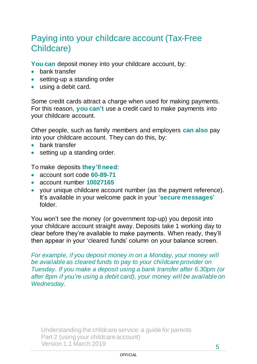### <span id="page-4-0"></span>Paying into your childcare account (Tax-Free Childcare)

You can deposit money into your childcare account, by:

- bank transfer
- setting-up a standing order
- using a debit card.

Some credit cards attract a charge when used for making payments. For this reason, **you can't** use a credit card to make payments into your childcare account.

Other people, such as family members and employers **can also** pay into your childcare account. They can do this, by:

- bank transfer
- setting up a standing order.

To make deposits **they'll need**:

- account sort code **60-89-71**
- account number **10027165**
- your unique childcare account number (as the payment reference). It's available in your welcome pack in your '**secure messages**' folder.

You won't see the money (or government top-up) you deposit into your childcare account straight away. Deposits take 1 working day to clear before they're available to make payments. When ready, they'll then appear in your 'cleared funds' column on your balance screen.

*For example, if you deposit money in on a Monday, your money will be available as cleared funds to pay to your childcare provider on Tuesday. If you make a deposit using a bank transfer after 6.30pm (or after 8pm if you're using a debit card), your money will be available on Wednesday.*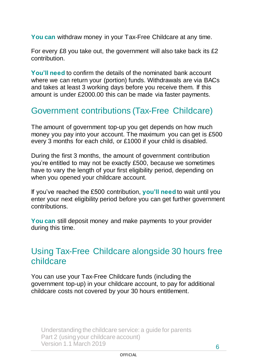**You can** withdraw money in your Tax-Free Childcare at any time.

For every £8 you take out, the government will also take back its £2 contribution.

**You'll need** to confirm the details of the nominated bank account where we can return your (portion) funds. Withdrawals are via BACs and takes at least 3 working days before you receive them. If this amount is under £2000.00 this can be made via faster payments.

#### <span id="page-5-0"></span>Government contributions (Tax-Free Childcare)

The amount of government top-up you get depends on how much money you pay into your account. The maximum you can get is £500 every 3 months for each child, or £1000 if your child is disabled.

During the first 3 months, the amount of government contribution you're entitled to may not be exactly £500, because we sometimes have to vary the length of your first eligibility period, depending on when you opened your childcare account.

If you've reached the £500 contribution, **you'll need** to wait until you enter your next eligibility period before you can get further government contributions.

**You can** still deposit money and make payments to your provider during this time.

#### <span id="page-5-1"></span>Using Tax-Free Childcare alongside 30 hours free childcare

You can use your Tax-Free Childcare funds (including the government top-up) in your childcare account, to pay for additional childcare costs not covered by your 30 hours entitlement.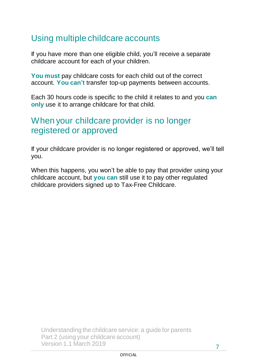### <span id="page-6-0"></span>Using multiple childcare accounts

If you have more than one eligible child, you'll receive a separate childcare account for each of your children.

**You must** pay childcare costs for each child out of the correct account. **You can't** transfer top-up payments between accounts.

Each 30 hours code is specific to the child it relates to and you **can only** use it to arrange childcare for that child.

#### <span id="page-6-1"></span>When your childcare provider is no longer registered or approved

If your childcare provider is no longer registered or approved, we'll tell you.

When this happens, you won't be able to pay that provider using your childcare account, but **you can** still use it to pay other regulated childcare providers signed up to Tax-Free Childcare.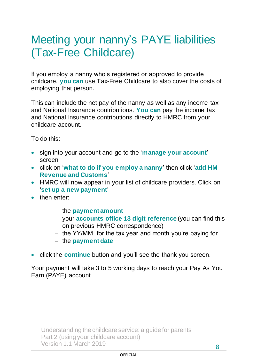## <span id="page-7-0"></span>Meeting your nanny's PAYE liabilities (Tax-Free Childcare)

If you employ a nanny who's registered or approved to provide childcare, **you can** use Tax-Free Childcare to also cover the costs of employing that person.

This can include the net pay of the nanny as well as any income tax and National Insurance contributions. **You can** pay the income tax and National Insurance contributions directly to HMRC from your childcare account.

To do this:

- sign into your account and go to the '**manage your account**' screen
- click on '**what to do if you employ a nanny**' then click '**add HM Revenue and Customs**'
- HMRC will now appear in your list of childcare providers. Click on '**set up a new payment**'
- then enter:
	- − the **payment amount**
	- − your **accounts office 13 digit reference** (you can find this on previous HMRC correspondence)
	- − the YY/MM, for the tax year and month you're paying for
	- − the **payment date**
- click the **continue** button and you'll see the thank you screen.

Your payment will take 3 to 5 working days to reach your Pay As You Earn (PAYE) account.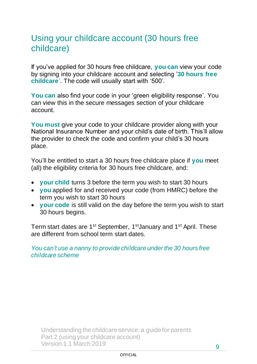### <span id="page-8-0"></span>Using your childcare account (30 hours free childcare)

If you've applied for 30 hours free childcare, **you can** view your code by [signing into your childcare account](https://www.gov.uk/sign-in-childcare-account) and selecting '**30 hours free childcare**'. The code will usually start with '500'.

**You can** also find your code in your 'green eligibility response'. You can view this in the secure messages section of your childcare account.

**You must** give your code to your childcare provider along with your National Insurance Number and your child's date of birth. This'll allow the provider to check the code and confirm your child's 30 hours place.

You'll be entitled to start a 30 hours free childcare place if **you** meet (all) the eligibility criteria for 30 hours free childcare, and:

- **your child** turns 3 before the term you wish to start 30 hours
- **you** applied for and received your code (from HMRC) before the term you wish to start 30 hours
- **your code** is still valid on the day before the term you wish to start 30 hours begins.

Term start dates are 1<sup>st</sup> September, 1<sup>st</sup> January and 1<sup>st</sup> April. These are different from school term start dates.

*You can't use a nanny to provide childcare under the 30 hours free childcare scheme*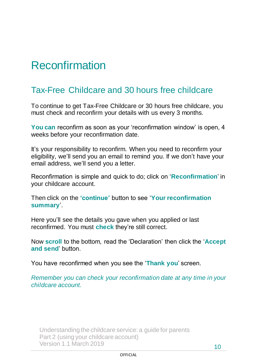# **Reconfirmation**

### Tax-Free Childcare and 30 hours free childcare

To continue to get Tax-Free Childcare or 30 hours free childcare, you must check and reconfirm your details with us every 3 months.

**You can** reconfirm as soon as your 'reconfirmation window' is open, 4 weeks before your reconfirmation date.

It's your responsibility to reconfirm. When you need to reconfirm your eligibility, we'll send you an email to remind you. If we don't have your email address, we'll send you a letter.

Reconfirmation is simple and quick to do; click on '**Reconfirmation**' in your childcare account.

Then click on the **'continue'** button to see '**Your reconfirmation summary**'.

Here you'll see the details you gave when you applied or last reconfirmed. You must **check** they're still correct.

Now **scroll** to the bottom, read the 'Declaration' then click the '**Accept and send**' button.

You have reconfirmed when you see the '**Thank you**' screen.

*Remember you can check your reconfirmation date at any time in your childcare account.*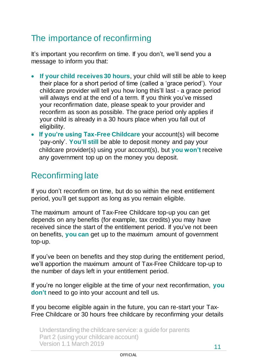### <span id="page-10-0"></span>The importance of reconfirming

It's important you reconfirm on time. If you don't, we'll send you a message to inform you that:

- **If your child receives 30 hours**, your child will still be able to keep their place for a short period of time (called a 'grace period'). Your childcare provider will tell you how long this'll last - a grace period will always end at the end of a term. If you think you've missed your reconfirmation date, please speak to your provider and reconfirm as soon as possible. The grace period only applies if your child is already in a 30 hours place when you fall out of eligibility.
- **If you're using Tax-Free Childcare** your account(s) will become 'pay-only'. **You'll still** be able to deposit money and pay your childcare provider(s) using your account(s), but **you won't** receive any government top up on the money you deposit.

### <span id="page-10-1"></span>Reconfirming late

If you don't reconfirm on time, but do so within the next entitlement period, you'll get support as long as you remain eligible.

The maximum amount of Tax-Free Childcare top-up you can get depends on any benefits (for example, tax credits) you may have received since the start of the entitlement period. If you've not been on benefits, **you can** get up to the maximum amount of government top-up.

If you've been on benefits and they stop during the entitlement period, we'll apportion the maximum amount of Tax-Free Childcare top-up to the number of days left in your entitlement period.

If you're no longer eligible at the time of your next reconfirmation, **you don't** need to go into your account and tell us.

If you become eligible again in the future, you can re-start your Tax-Free Childcare or 30 hours free childcare by reconfirming your details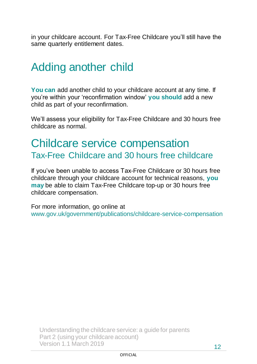in your childcare account. For Tax-Free Childcare you'll still have the same quarterly entitlement dates.

## <span id="page-11-0"></span>Adding another child

**You can** add another child to your childcare account at any time. If you're within your 'reconfirmation window' **you should** add a new child as part of your reconfirmation.

We'll assess your eligibility for Tax-Free Childcare and 30 hours free childcare as normal.

### <span id="page-11-2"></span><span id="page-11-1"></span>Childcare service compensation Tax-Free Childcare and 30 hours free childcare

If you've been unable to access Tax-Free Childcare or 30 hours free childcare through your childcare account for technical reasons, **you may** be able to claim Tax-Free Childcare top-up or 30 hours free childcare compensation.

For more information, go online at www.gov.uk/government/publications/childcare-service-compensation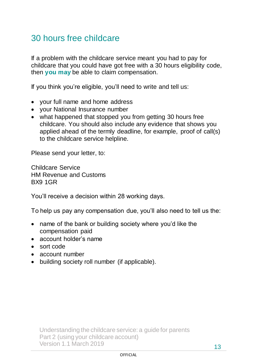### <span id="page-12-0"></span>30 hours free childcare

If a problem with the childcare service meant you had to pay for childcare that you could have got free with a 30 hours eligibility code, then **you may** be able to claim compensation.

If you think you're eligible, you'll need to write and tell us:

- your full name and home address
- your National Insurance number
- what happened that stopped you from getting 30 hours free childcare. You should also include any evidence that shows you applied ahead of the termly deadline, for example, proof of call(s) to the childcare service helpline.

Please send your letter, to:

Childcare Service HM Revenue and Customs BX9 1GR

You'll receive a decision within 28 working days.

To help us pay any compensation due, you'll also need to tell us the:

- name of the bank or building society where you'd like the compensation paid
- account holder's name
- sort code
- account number
- building society roll number (if applicable).

#### **OFFICIAL**